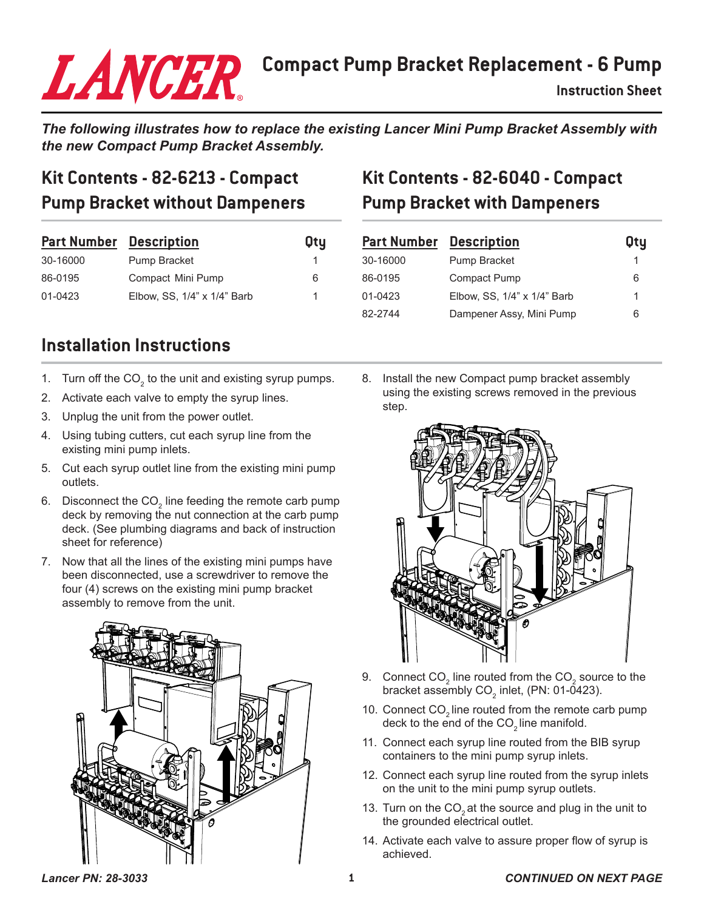# **Compact Pump Bracket Replacement - 6 Pump**

*The following illustrates how to replace the existing Lancer Mini Pump Bracket Assembly with the new Compact Pump Bracket Assembly.*

### **Kit Contents - 82-6213 - Compact Pump Bracket without Dampeners**

LANCER

| <b>Part Number Description</b> |                             | <b>Oty</b> |
|--------------------------------|-----------------------------|------------|
| 30-16000                       | Pump Bracket                |            |
| 86-0195                        | Compact Mini Pump           | 6          |
| 01-0423                        | Elbow, SS, 1/4" x 1/4" Barb |            |

# **Kit Contents - 82-6040 - Compact Pump Bracket with Dampeners**

| <b>Part Number</b> Description |                             | <b>Oty</b> |
|--------------------------------|-----------------------------|------------|
| 30-16000                       | Pump Bracket                |            |
| 86-0195                        | <b>Compact Pump</b>         | 6          |
| 01-0423                        | Elbow, SS, 1/4" x 1/4" Barb | 1          |
| 82-2744                        | Dampener Assy, Mini Pump    | 6          |

#### **Installation Instructions**

- 1. Turn off the CO $_{2}$  to the unit and existing syrup pumps.
- 2. Activate each valve to empty the syrup lines.
- 3. Unplug the unit from the power outlet.
- 4. Using tubing cutters, cut each syrup line from the existing mini pump inlets.
- 5. Cut each syrup outlet line from the existing mini pump outlets.
- 6.  $\,$  Disconnect the CO $_{2}$  line feeding the remote carb pump deck by removing the nut connection at the carb pump deck. (See plumbing diagrams and back of instruction sheet for reference)
- 7. Now that all the lines of the existing mini pumps have been disconnected, use a screwdriver to remove the four (4) screws on the existing mini pump bracket assembly to remove from the unit.



8. Install the new Compact pump bracket assembly using the existing screws removed in the previous step.



- 9.  $\,$  Connect CO $_{_2}$  line routed from the CO $_{_2}$  source to the bracket assembly CO $_{\textrm{\tiny{2}}}$  inlet, (PN: 01-0423).
- 10. Connect  $CO<sub>2</sub>$  line routed from the remote carb pump deck to the end of the CO<sub>2</sub> line manifold.
- 11. Connect each syrup line routed from the BIB syrup containers to the mini pump syrup inlets.
- 12. Connect each syrup line routed from the syrup inlets on the unit to the mini pump syrup outlets.
- 13. Turn on the  $CO<sub>2</sub>$  at the source and plug in the unit to the grounded electrical outlet.
- 14. Activate each valve to assure proper flow of syrup is achieved.